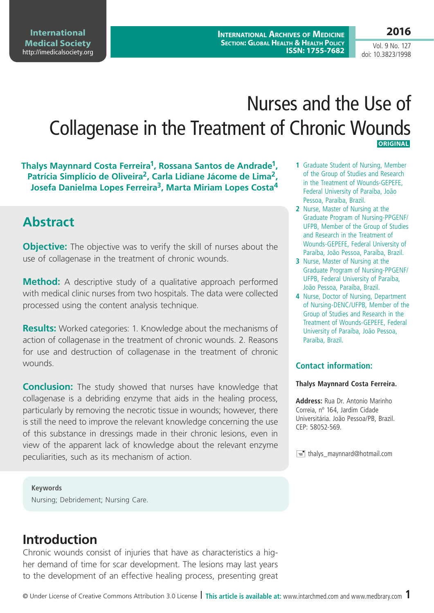**International Archives of Medicine Section: Global Health & Health Policy ISSN: 1755-7682** **2016**

Vol. 9 No. 127 doi: 10.3823/1998

# Nurses and the Use of Collagenase in the Treatment of Chronic Wounds **ORIGINAL**

**Thalys Maynnard Costa Ferreira1, Rossana Santos de Andrade1,**  Patrícia Simplício de Oliveira<sup>2</sup>, Carla Lidiane Jácome de Lima<sup>2</sup>, **Josefa Danielma Lopes Ferreira3, Marta Miriam Lopes Costa4**

## **Abstract**

**Objective:** The objective was to verify the skill of nurses about the use of collagenase in the treatment of chronic wounds.

**Method:** A descriptive study of a qualitative approach performed with medical clinic nurses from two hospitals. The data were collected processed using the content analysis technique.

**Results:** Worked categories: 1. Knowledge about the mechanisms of action of collagenase in the treatment of chronic wounds. 2. Reasons for use and destruction of collagenase in the treatment of chronic wounds.

**Conclusion:** The study showed that nurses have knowledge that collagenase is a debriding enzyme that aids in the healing process, particularly by removing the necrotic tissue in wounds; however, there is still the need to improve the relevant knowledge concerning the use of this substance in dressings made in their chronic lesions, even in view of the apparent lack of knowledge about the relevant enzyme peculiarities, such as its mechanism of action.

**Keywords** Nursing; Debridement; Nursing Care.

## **Introduction**

Chronic wounds consist of injuries that have as characteristics a higher demand of time for scar development. The lesions may last years to the development of an effective healing process, presenting great

- **1** Graduate Student of Nursing, Member of the Group of Studies and Research in the Treatment of Wounds-GEPEFE, Federal University of Paraíba, João Pessoa, Paraíba, Brazil.
- **2** Nurse, Master of Nursing at the Graduate Program of Nursing-PPGENF/ UFPB, Member of the Group of Studies and Research in the Treatment of Wounds-GEPEFE, Federal University of Paraíba, João Pessoa, Paraíba, Brazil.
- **3** Nurse, Master of Nursing at the Graduate Program of Nursing-PPGENF/ UFPB, Federal University of Paraíba, João Pessoa, Paraíba, Brazil.
- **4** Nurse, Doctor of Nursing, Department of Nursing-DENC/UFPB, Member of the Group of Studies and Research in the Treatment of Wounds-GEPEFE, Federal University of Paraíba, João Pessoa, Paraíba, Brazil.

### **Contact information:**

#### **Thalys Maynnard Costa Ferreira.**

**Address:** Rua Dr. Antonio Marinho Correia, nº 164, Jardim Cidade Universitária. João Pessoa/PB, Brazil. CEP: 58052-569.

 $\equiv$  thalys\_maynnard@hotmail.com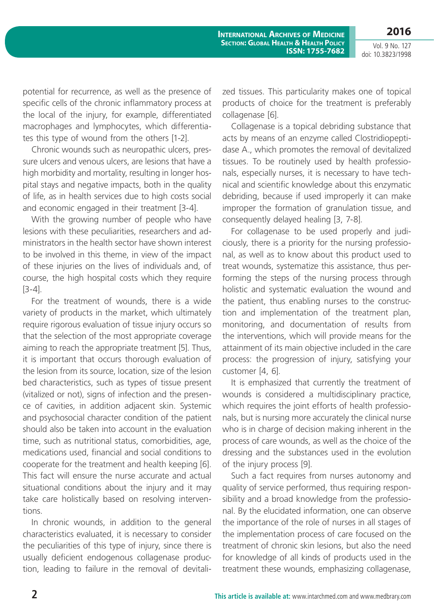potential for recurrence, as well as the presence of specific cells of the chronic inflammatory process at the local of the injury, for example, differentiated macrophages and lymphocytes, which differentiates this type of wound from the others [1-2].

Chronic wounds such as neuropathic ulcers, pressure ulcers and venous ulcers, are lesions that have a high morbidity and mortality, resulting in longer hospital stays and negative impacts, both in the quality of life, as in health services due to high costs social and economic engaged in their treatment [3-4].

With the growing number of people who have lesions with these peculiarities, researchers and administrators in the health sector have shown interest to be involved in this theme, in view of the impact of these injuries on the lives of individuals and, of course, the high hospital costs which they require [3-4].

For the treatment of wounds, there is a wide variety of products in the market, which ultimately require rigorous evaluation of tissue injury occurs so that the selection of the most appropriate coverage aiming to reach the appropriate treatment [5]. Thus, it is important that occurs thorough evaluation of the lesion from its source, location, size of the lesion bed characteristics, such as types of tissue present (vitalized or not), signs of infection and the presence of cavities, in addition adjacent skin. Systemic and psychosocial character condition of the patient should also be taken into account in the evaluation time, such as nutritional status, comorbidities, age, medications used, financial and social conditions to cooperate for the treatment and health keeping [6]. This fact will ensure the nurse accurate and actual situational conditions about the injury and it may take care holistically based on resolving interventions.

In chronic wounds, in addition to the general characteristics evaluated, it is necessary to consider the peculiarities of this type of injury, since there is usually deficient endogenous collagenase production, leading to failure in the removal of devitalized tissues. This particularity makes one of topical products of choice for the treatment is preferably collagenase [6].

Collagenase is a topical debriding substance that acts by means of an enzyme called Clostridiopeptidase A., which promotes the removal of devitalized tissues. To be routinely used by health professionals, especially nurses, it is necessary to have technical and scientific knowledge about this enzymatic debriding, because if used improperly it can make improper the formation of granulation tissue, and consequently delayed healing [3, 7-8].

For collagenase to be used properly and judiciously, there is a priority for the nursing professional, as well as to know about this product used to treat wounds, systematize this assistance, thus performing the steps of the nursing process through holistic and systematic evaluation the wound and the patient, thus enabling nurses to the construction and implementation of the treatment plan, monitoring, and documentation of results from the interventions, which will provide means for the attainment of its main objective included in the care process: the progression of injury, satisfying your customer [4, 6].

It is emphasized that currently the treatment of wounds is considered a multidisciplinary practice, which requires the joint efforts of health professionals, but is nursing more accurately the clinical nurse who is in charge of decision making inherent in the process of care wounds, as well as the choice of the dressing and the substances used in the evolution of the injury process [9].

Such a fact requires from nurses autonomy and quality of service performed, thus requiring responsibility and a broad knowledge from the professional. By the elucidated information, one can observe the importance of the role of nurses in all stages of the implementation process of care focused on the treatment of chronic skin lesions, but also the need for knowledge of all kinds of products used in the treatment these wounds, emphasizing collagenase,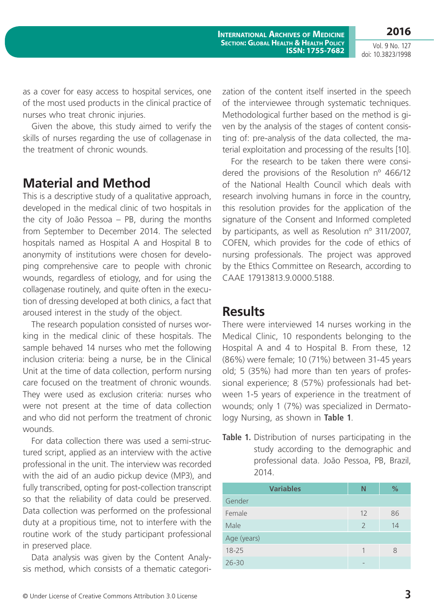**2016**

as a cover for easy access to hospital services, one of the most used products in the clinical practice of nurses who treat chronic injuries.

Given the above, this study aimed to verify the skills of nurses regarding the use of collagenase in the treatment of chronic wounds.

### **Material and Method**

This is a descriptive study of a qualitative approach, developed in the medical clinic of two hospitals in the city of João Pessoa – PB, during the months from September to December 2014. The selected hospitals named as Hospital A and Hospital B to anonymity of institutions were chosen for developing comprehensive care to people with chronic wounds, regardless of etiology, and for using the collagenase routinely, and quite often in the execution of dressing developed at both clinics, a fact that aroused interest in the study of the object.

The research population consisted of nurses working in the medical clinic of these hospitals. The sample behaved 14 nurses who met the following inclusion criteria: being a nurse, be in the Clinical Unit at the time of data collection, perform nursing care focused on the treatment of chronic wounds. They were used as exclusion criteria: nurses who were not present at the time of data collection and who did not perform the treatment of chronic wounds.

For data collection there was used a semi-structured script, applied as an interview with the active professional in the unit. The interview was recorded with the aid of an audio pickup device (MP3), and fully transcribed, opting for post-collection transcript so that the reliability of data could be preserved. Data collection was performed on the professional duty at a propitious time, not to interfere with the routine work of the study participant professional in preserved place.

Data analysis was given by the Content Analysis method, which consists of a thematic categorization of the content itself inserted in the speech of the interviewee through systematic techniques. Methodological further based on the method is given by the analysis of the stages of content consisting of: pre-analysis of the data collected, the material exploitation and processing of the results [10].

For the research to be taken there were considered the provisions of the Resolution nº 466/12 of the National Health Council which deals with research involving humans in force in the country, this resolution provides for the application of the signature of the Consent and Informed completed by participants, as well as Resolution nº 311/2007, COFEN, which provides for the code of ethics of nursing professionals. The project was approved by the Ethics Committee on Research, according to CAAE 17913813.9.0000.5188.

### **Results**

There were interviewed 14 nurses working in the Medical Clinic, 10 respondents belonging to the Hospital A and 4 to Hospital B. From these, 12 (86%) were female; 10 (71%) between 31-45 years old; 5 (35%) had more than ten years of professional experience; 8 (57%) professionals had between 1-5 years of experience in the treatment of wounds; only 1 (7%) was specialized in Dermatology Nursing, as shown in **Table 1**.

**Table 1.** Distribution of nurses participating in the study according to the demographic and professional data. João Pessoa, PB, Brazil, 2014.

| <b>Variables</b> | N              | $\%$ |
|------------------|----------------|------|
| Gender           |                |      |
| Female           | 12             | 86   |
| Male             | $\overline{2}$ | 14   |
| Age (years)      |                |      |
| $18 - 25$        |                | 8    |
| $26 - 30$        |                |      |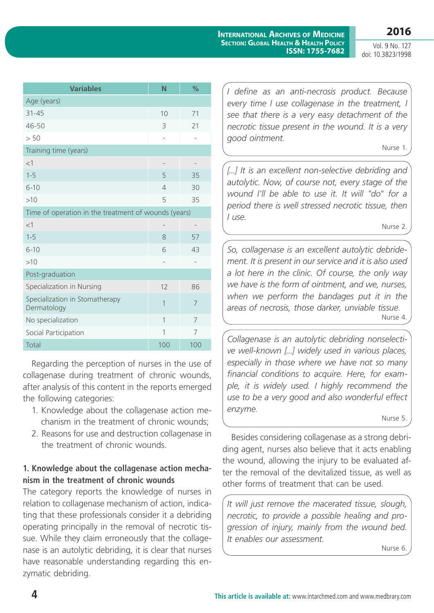**International Archives of Medicine Section: Global Health & Health Policy ISSN: 1755-7682** **2016**

Vol. 9 No. 127 doi: 10.3823/1998

| <b>Variables</b>                                     | N                 | %                        |  |
|------------------------------------------------------|-------------------|--------------------------|--|
| Age (years)                                          |                   |                          |  |
| $31 - 45$                                            | 10                | 71                       |  |
| 46-50                                                | 3                 | 21                       |  |
| > 50                                                 | $\overline{a}$    |                          |  |
| Training time (years)                                |                   |                          |  |
| <1                                                   |                   |                          |  |
| $1 - 5$                                              | 5                 | 35                       |  |
| $6 - 10$                                             | $\overline{4}$    | 30                       |  |
| >10                                                  | 5                 | 35                       |  |
| Time of operation in the treatment of wounds (years) |                   |                          |  |
| $<$ 1                                                |                   | $\overline{\phantom{0}}$ |  |
| $1 - 5$                                              | 8                 | 57                       |  |
| $6 - 10$                                             | 6                 | 43                       |  |
| >10                                                  | $\qquad \qquad -$ |                          |  |
| Post-graduation                                      |                   |                          |  |
| Specialization in Nursing                            | 12                | 86                       |  |
| Specialization in Stomatherapy<br>Dermatology        | 1                 | 7                        |  |
| No specialization                                    | 1                 | 7                        |  |
| Social Participation                                 | 1                 | 7                        |  |
| Total                                                | 100               | 100                      |  |

Regarding the perception of nurses in the use of collagenase during treatment of chronic wounds, after analysis of this content in the reports emerged the following categories:

- 1. Knowledge about the collagenase action mechanism in the treatment of chronic wounds;
- 2. Reasons for use and destruction collagenase in the treatment of chronic wounds.

### **1. Knowledge about the collagenase action mechanism in the treatment of chronic wounds**

The category reports the knowledge of nurses in relation to collagenase mechanism of action, indicating that these professionals consider it a debriding operating principally in the removal of necrotic tissue. While they claim erroneously that the collagenase is an autolytic debriding, it is clear that nurses have reasonable understanding regarding this enzymatic debriding.

*I define as an anti-necrosis product. Because every time I use collagenase in the treatment, I see that there is a very easy detachment of the necrotic tissue present in the wound. It is a very good ointment.*

Nurse 1.

[...] It is an excellent non-selective debriding and *autolytic. Now, of course not, every stage of the wound I'll be able to use it. It will "do" for a period there is well stressed necrotic tissue, then I use.*

Nurse 2.

*So, collagenase is an excellent autolytic debridement. It is present in our service and it is also used a lot here in the clinic. Of course, the only way we have is the form of ointment, and we, nurses, when we perform the bandages put it in the areas of necrosis, those darker, unviable tissue.* Nurse 4.

*Collagenase is an autolytic debriding nonselective well-known [...] widely used in various places, especially in those where we have not so many financial conditions to acquire. Here, for example, it is widely used. I highly recommend the use to be a very good and also wonderful effect enzyme.*

Nurse 5.

Besides considering collagenase as a strong debriding agent, nurses also believe that it acts enabling the wound, allowing the injury to be evaluated after the removal of the devitalized tissue, as well as other forms of treatment that can be used.

*It will just remove the macerated tissue, slough, necrotic, to provide a possible healing and progression of injury, mainly from the wound bed. It enables our assessment.*

Nurse 6.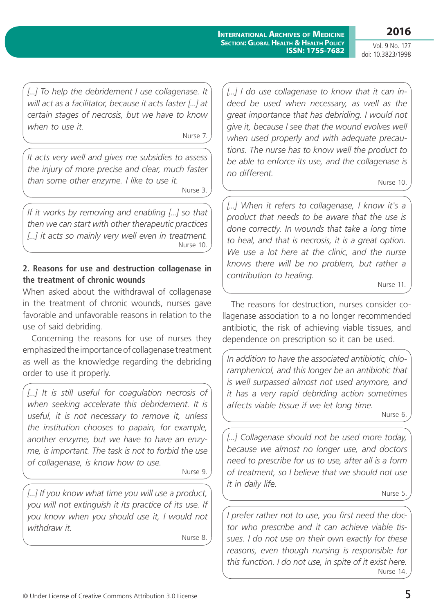**2016**

Vol. 9 No. 127 doi: 10.3823/1998

*[...] To help the debridement I use collagenase. It will act as a facilitator, because it acts faster [...] at certain stages of necrosis, but we have to know when to use it.*

Nurse 7.

*It acts very well and gives me subsidies to assess the injury of more precise and clear, much faster than some other enzyme. I like to use it.* Nurse 3.

*If it works by removing and enabling [...] so that then we can start with other therapeutic practices [...] it acts so mainly very well even in treatment.* Nurse 10.

#### **2. Reasons for use and destruction collagenase in the treatment of chronic wounds**

When asked about the withdrawal of collagenase in the treatment of chronic wounds, nurses gave favorable and unfavorable reasons in relation to the use of said debriding.

Concerning the reasons for use of nurses they emphasized the importance of collagenase treatment as well as the knowledge regarding the debriding order to use it properly.

[...] It is still useful for coagulation necrosis of *when seeking accelerate this debridement. It is useful, it is not necessary to remove it, unless the institution chooses to papain, for example, another enzyme, but we have to have an enzyme, is important. The task is not to forbid the use of collagenase, is know how to use.*

Nurse 9.

*[...] If you know what time you will use a product, you will not extinguish it its practice of its use. If you know when you should use it, I would not withdraw it.*

Nurse 8.

*[...] I do use collagenase to know that it can indeed be used when necessary, as well as the great importance that has debriding. I would not give it, because I see that the wound evolves well when used properly and with adequate precautions. The nurse has to know well the product to be able to enforce its use, and the collagenase is no different.*

Nurse 10.

*[...] When it refers to collagenase, I know it's a product that needs to be aware that the use is done correctly. In wounds that take a long time to heal, and that is necrosis, it is a great option. We use a lot here at the clinic, and the nurse knows there will be no problem, but rather a contribution to healing.*

Nurse 11.

The reasons for destruction, nurses consider collagenase association to a no longer recommended antibiotic, the risk of achieving viable tissues, and dependence on prescription so it can be used.

*In addition to have the associated antibiotic, chloramphenicol, and this longer be an antibiotic that is well surpassed almost not used anymore, and it has a very rapid debriding action sometimes affects viable tissue if we let long time.*

Nurse 6.

[...] Collagenase should not be used more today, *because we almost no longer use, and doctors need to prescribe for us to use, after all is a form of treatment, so I believe that we should not use it in daily life.*

Nurse 5.

*I prefer rather not to use, you first need the doctor who prescribe and it can achieve viable tissues. I do not use on their own exactly for these reasons, even though nursing is responsible for this function. I do not use, in spite of it exist here.* Nurse 14.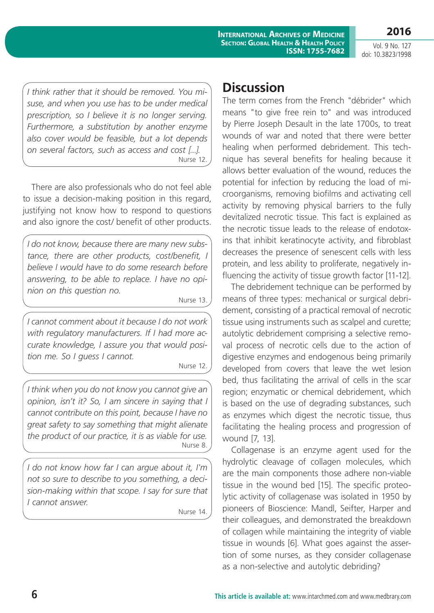**2016**

*I think rather that it should be removed. You misuse, and when you use has to be under medical prescription, so I believe it is no longer serving. Furthermore, a substitution by another enzyme also cover would be feasible, but a lot depends on several factors, such as access and cost [...].* Nurse 12.

There are also professionals who do not feel able to issue a decision-making position in this regard, justifying not know how to respond to questions and also ignore the cost/ benefit of other products.

*I do not know, because there are many new substance, there are other products, cost/benefit, I believe I would have to do some research before answering, to be able to replace. I have no opinion on this question no.*

Nurse 13.

*I cannot comment about it because I do not work with regulatory manufacturers. If I had more accurate knowledge, I assure you that would position me. So I guess I cannot.*

Nurse 12.

*I think when you do not know you cannot give an opinion, isn't it? So, I am sincere in saying that I cannot contribute on this point, because I have no great safety to say something that might alienate the product of our practice, it is as viable for use.* Nurse 8.

*I do not know how far I can argue about it, I'm not so sure to describe to you something, a decision-making within that scope. I say for sure that I cannot answer.*

Nurse 14.

### **Discussion**

The term comes from the French "débrider" which means "to give free rein to" and was introduced by Pierre Joseph Desault in the late 1700s, to treat wounds of war and noted that there were better healing when performed debridement. This technique has several benefits for healing because it allows better evaluation of the wound, reduces the potential for infection by reducing the load of microorganisms, removing biofilms and activating cell activity by removing physical barriers to the fully devitalized necrotic tissue. This fact is explained as the necrotic tissue leads to the release of endotoxins that inhibit keratinocyte activity, and fibroblast decreases the presence of senescent cells with less protein, and less ability to proliferate, negatively influencing the activity of tissue growth factor [11-12].

The debridement technique can be performed by means of three types: mechanical or surgical debridement, consisting of a practical removal of necrotic tissue using instruments such as scalpel and curette; autolytic debridement comprising a selective removal process of necrotic cells due to the action of digestive enzymes and endogenous being primarily developed from covers that leave the wet lesion bed, thus facilitating the arrival of cells in the scar region; enzymatic or chemical debridement, which is based on the use of degrading substances, such as enzymes which digest the necrotic tissue, thus facilitating the healing process and progression of wound [7, 13].

Collagenase is an enzyme agent used for the hydrolytic cleavage of collagen molecules, which are the main components those adhere non-viable tissue in the wound bed [15]. The specific proteolytic activity of collagenase was isolated in 1950 by pioneers of Bioscience: Mandl, Seifter, Harper and their colleagues, and demonstrated the breakdown of collagen while maintaining the integrity of viable tissue in wounds [6]. What goes against the assertion of some nurses, as they consider collagenase as a non-selective and autolytic debriding?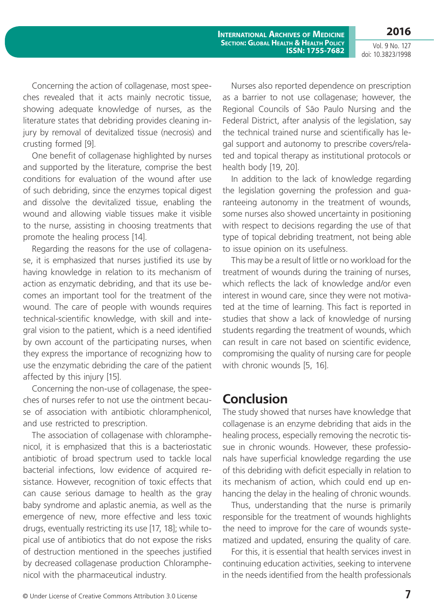**2016**

Concerning the action of collagenase, most speeches revealed that it acts mainly necrotic tissue, showing adequate knowledge of nurses, as the literature states that debriding provides cleaning injury by removal of devitalized tissue (necrosis) and crusting formed [9].

One benefit of collagenase highlighted by nurses and supported by the literature, comprise the best conditions for evaluation of the wound after use of such debriding, since the enzymes topical digest and dissolve the devitalized tissue, enabling the wound and allowing viable tissues make it visible to the nurse, assisting in choosing treatments that promote the healing process [14].

Regarding the reasons for the use of collagenase, it is emphasized that nurses justified its use by having knowledge in relation to its mechanism of action as enzymatic debriding, and that its use becomes an important tool for the treatment of the wound. The care of people with wounds requires technical-scientific knowledge, with skill and integral vision to the patient, which is a need identified by own account of the participating nurses, when they express the importance of recognizing how to use the enzymatic debriding the care of the patient affected by this injury [15].

Concerning the non-use of collagenase, the speeches of nurses refer to not use the ointment because of association with antibiotic chloramphenicol, and use restricted to prescription.

The association of collagenase with chloramphenicol, it is emphasized that this is a bacteriostatic antibiotic of broad spectrum used to tackle local bacterial infections, low evidence of acquired resistance. However, recognition of toxic effects that can cause serious damage to health as the gray baby syndrome and aplastic anemia, as well as the emergence of new, more effective and less toxic drugs, eventually restricting its use [17, 18]; while topical use of antibiotics that do not expose the risks of destruction mentioned in the speeches justified by decreased collagenase production Chloramphenicol with the pharmaceutical industry.

Nurses also reported dependence on prescription as a barrier to not use collagenase; however, the Regional Councils of São Paulo Nursing and the Federal District, after analysis of the legislation, say the technical trained nurse and scientifically has legal support and autonomy to prescribe covers/related and topical therapy as institutional protocols or health body [19, 20].

In addition to the lack of knowledge regarding the legislation governing the profession and guaranteeing autonomy in the treatment of wounds, some nurses also showed uncertainty in positioning with respect to decisions regarding the use of that type of topical debriding treatment, not being able to issue opinion on its usefulness.

This may be a result of little or no workload for the treatment of wounds during the training of nurses, which reflects the lack of knowledge and/or even interest in wound care, since they were not motivated at the time of learning. This fact is reported in studies that show a lack of knowledge of nursing students regarding the treatment of wounds, which can result in care not based on scientific evidence, compromising the quality of nursing care for people with chronic wounds [5, 16].

### **Conclusion**

The study showed that nurses have knowledge that collagenase is an enzyme debriding that aids in the healing process, especially removing the necrotic tissue in chronic wounds. However, these professionals have superficial knowledge regarding the use of this debriding with deficit especially in relation to its mechanism of action, which could end up enhancing the delay in the healing of chronic wounds.

Thus, understanding that the nurse is primarily responsible for the treatment of wounds highlights the need to improve for the care of wounds systematized and updated, ensuring the quality of care.

For this, it is essential that health services invest in continuing education activities, seeking to intervene in the needs identified from the health professionals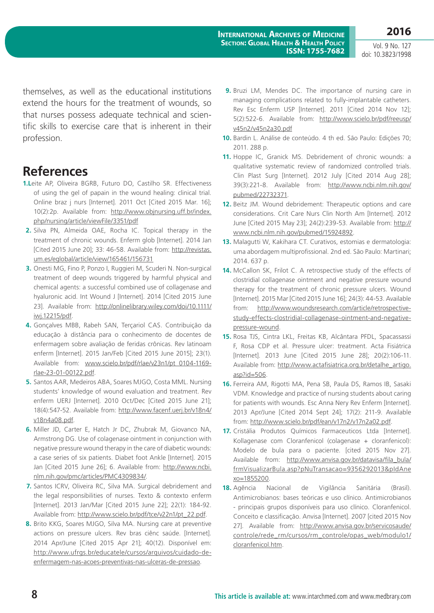themselves, as well as the educational institutions extend the hours for the treatment of wounds, so that nurses possess adequate technical and scientific skills to exercise care that is inherent in their profession.

## **References**

- **1.L**eite AP, Oliveira BGRB, Futuro DO, Castilho SR. Effectiveness of using the gel of papain in the wound healing: clinical trial. Online braz j nurs [Internet]. 2011 Oct [Cited 2015 Mar. 16]; 10(2):2p. Available from: [http://www.objnursing.uff.br/index.](http://www.objnursing.uff.br/index.php/nursing/article/viewFile/3351/pdf) [php/nursing/article/viewFile/3351/pdf](http://www.objnursing.uff.br/index.php/nursing/article/viewFile/3351/pdf)
- **2.** Silva PN, Almeida OAE, Rocha IC. Topical therapy in the treatment of chronic wounds. Enferm glob [Internet]. 2014 Jan [Cited 2015 June 20]; 33: 46-58. Available from: [http://revistas.](http://revistas.um.es/eglobal/article/view/165461/156731) [um.es/eglobal/article/view/165461/156731](http://revistas.um.es/eglobal/article/view/165461/156731)
- **3.** Onesti MG, Fino P, Ponzo I, Ruggieri M, Scuderi N. Non-surgical treatment of deep wounds triggered by harmful physical and chemical agents: a successful combined use of collagenase and hyaluronic acid. Int Wound J [Internet]. 2014 [Cited 2015 June 23]. Available from: [http://onlinelibrary.wiley.com/doi/10.1111/](http://onlinelibrary.wiley.com/doi/10.1111/iwj.12215/pdf) [iwj.12215/pdf.](http://onlinelibrary.wiley.com/doi/10.1111/iwj.12215/pdf)
- **4.** Gonçalves MBB, Rabeh SAN, Terçariol CAS. Contribuição da educação à distância para o conhecimento de docentes de enfermagem sobre avaliação de feridas crônicas. Rev latinoam enferm [Internet]. 2015 Jan/Feb [Cited 2015 June 2015]; 23(1). Available from: [www.scielo.br/pdf/rlae/v23n1/pt\\_0104-1169](http://www.scielo.br/pdf/rlae/v23n1/pt_0104-1169-rlae-23-01-00122.pdf) [rlae-23-01-00122.pdf](http://www.scielo.br/pdf/rlae/v23n1/pt_0104-1169-rlae-23-01-00122.pdf).
- **5.** Santos AAR, Medeiros ABA, Soares MJGO, Costa MML. Nursing students' knowledge of wound evaluation and treatment. Rev enferm UERJ [Internet]. 2010 Oct/Dec [Cited 2015 June 21]; 18(4):547-52. Available from: [http://www.facenf.uerj.br/v18n4/](http://www.facenf.uerj.br/v18n4/v18n4a08.pdf) [v18n4a08.pdf](http://www.facenf.uerj.br/v18n4/v18n4a08.pdf).
- **6.** Miller JD, Carter E, Hatch Jr DC, Zhubrak M, Giovanco NA, Armstrong DG. Use of colagenase ointment in conjunction with negative pressure wound therapy in the care of diabetic wounds: a case series of six patients. Diabet foot Ankle [Internet]. 2015 Jan [Cited 2015 June 26]; 6. Available from: [http://www.ncbi.](http://www.ncbi.nlm.nih.gov/pmc/articles/PMC4309834/) [nlm.nih.gov/pmc/articles/PMC4309834/.](http://www.ncbi.nlm.nih.gov/pmc/articles/PMC4309834/)
- **7.** Santos ICRV, Oliveira RC, Silva MA. Surgical debridement and the legal responsibilities of nurses. Texto & contexto enferm [Internet]. 2013 Jan/Mar [Cited 2015 June 22]; 22(1): 184-92. Available from: [http://www.scielo.br/pdf/tce/v22n1/pt\\_22.pdf.](http://www.scielo.br/pdf/tce/v22n1/pt_22.pdf)
- **8.** Brito KKG, Soares MJGO, Silva MA. Nursing care at preventive actions on pressure ulcers. Rev bras ciênc saúde. [Internet]. 2014 Apr/June [Cited 2015 Apr 21]; 40(12). Disponível em: [http://www.ufrgs.br/educatele/cursos/arquivos/cuidado-de](http://www.ufrgs.br/educatele/cursos/arquivos/cuidado-de-enfermagem-nas-acoes-preventivas-nas-ulceras-de-pressao)[enfermagem-nas-acoes-preventivas-nas-ulceras-de-pressao](http://www.ufrgs.br/educatele/cursos/arquivos/cuidado-de-enfermagem-nas-acoes-preventivas-nas-ulceras-de-pressao).
- **9.** Bruzi LM, Mendes DC. The importance of nursing care in managing complications related to fully-implantable catheters. Rev Esc Enferm USP [Internet]. 2011 [Cited 2014 Nov 12]; 5(2):522-6. Available from: [http://www.scielo.br/pdf/reeusp/](http://www.scielo.br/pdf/reeusp/v45n2/v45n2a30.pdf) [v45n2/v45n2a30.pdf](http://www.scielo.br/pdf/reeusp/v45n2/v45n2a30.pdf)
- **10.** Bardin L. Análise de conteúdo. 4 th ed. São Paulo: Edições 70; 2011. 288 p.
- **11.** Hoppe IC, Granick MS. Debridement of chronic wounds: a qualitative systematic review of randomized controlled trials. Clin Plast Surg [Internet]. 2012 July [Cited 2014 Aug 28]; 39(3):221-8. Available from: [http://www.ncbi.nlm.nih.gov/](http://www.ncbi.nlm.nih.gov/pubmed/22732371) [pubmed/22732371.](http://www.ncbi.nlm.nih.gov/pubmed/22732371)
- **12.** Beitz JM. Wound debridement: Therapeutic options and care considerations. Crit Care Nurs Clin North Am [Internet]. 2012 June [Cited 2015 May 23]; 24(2):239-53. Available from: [http://](http://www.ncbi.nlm.nih.gov/pubmed/15924892) [www.ncbi.nlm.nih.gov/pubmed/15924892](http://www.ncbi.nlm.nih.gov/pubmed/15924892).
- **13.** Malagutti W, Kakihara CT. Curativos, estomias e dermatologia: uma abordagem multiprofissional. 2nd ed. São Paulo: Martinari; 2014. 637 p.
- **14.** McCallon SK, Frilot C. A retrospective study of the effects of clostridial collagenase ointment and negative pressure wound therapy for the treatment of chronic pressure ulcers. Wound [Internet]. 2015 Mar [Cited 2015 June 16]; 24(3): 44-53. Available from: [http://www.woundsresearch.com/article/retrospective](http://www.woundsresearch.com/article/retrospective-study-effects-clostridial-collagenase-ointment-and-negative-pressure-wound)[study-effects-clostridial-collagenase-ointment-and-negative](http://www.woundsresearch.com/article/retrospective-study-effects-clostridial-collagenase-ointment-and-negative-pressure-wound)[pressure-wound.](http://www.woundsresearch.com/article/retrospective-study-effects-clostridial-collagenase-ointment-and-negative-pressure-wound)
- **15.** Rosa TJS, Cintra LKL, Freitas KB, Alcântara PFDL, Spacassassi F, Rosa CDP et al. Pressure ulcer: treatment. Acta Fisiátrica [Internet]. 2013 June [Cited 2015 June 28]; 20(2):106-11. Available from: [http://www.actafisiatrica.org.br/detalhe\\_artigo.](http://www.actafisiatrica.org.br/detalhe_artigo.asp?id=506) [asp?id=506.](http://www.actafisiatrica.org.br/detalhe_artigo.asp?id=506)
- **16.** Ferreira AM, Rigotti MA, Pena SB, Paula DS, Ramos IB, Sasaki VDM. Knowledge and practice of nursing students about caring for patients with wounds. Esc Anna Nery Rev Enferm [Internet]. 2013 Apr/June [Cited 2014 Sept 24]; 17(2): 211-9. Available from:<http://www.scielo.br/pdf/ean/v17n2/v17n2a02.pdf>.
- **17.** Cristália Produtos Químicos Farmaceuticos Ltda [Internet]. Kollagenase com Cloranfenicol (colagenase + cloranfenicol): Modelo de bula para o paciente. [cited 2015 Nov 27]. Available from: [http://www.anvisa.gov.br/datavisa/fila\\_bula/](http://www.anvisa.gov.br/datavisa/fila_bula/frmVisualizarBula.asp?pNuTransacao=9356292013&pIdAnexo=1855200) [frmVisualizarBula.asp?pNuTransacao=9356292013&pIdAne](http://www.anvisa.gov.br/datavisa/fila_bula/frmVisualizarBula.asp?pNuTransacao=9356292013&pIdAnexo=1855200) [xo=1855200.](http://www.anvisa.gov.br/datavisa/fila_bula/frmVisualizarBula.asp?pNuTransacao=9356292013&pIdAnexo=1855200)
- **18.** Agência Nacional de Vigilância Sanitária (Brasil). Antimicrobianos: bases teóricas e uso clínico. Antimicrobianos - principais grupos disponíveis para uso clínico. Cloranfenicol. Conceito e classificação. Anvisa [Internet]. 2007 [cited 2015 Nov 27]. Available from: [http://www.anvisa.gov.br/servicosaude/](http://www.anvisa.gov.br/servicosaude/controle/rede_rm/cursos/rm_controle/opas_web/modulo1/cloranfenicol.htm) [controle/rede\\_rm/cursos/rm\\_controle/opas\\_web/modulo1/](http://www.anvisa.gov.br/servicosaude/controle/rede_rm/cursos/rm_controle/opas_web/modulo1/cloranfenicol.htm) [cloranfenicol.htm.](http://www.anvisa.gov.br/servicosaude/controle/rede_rm/cursos/rm_controle/opas_web/modulo1/cloranfenicol.htm)